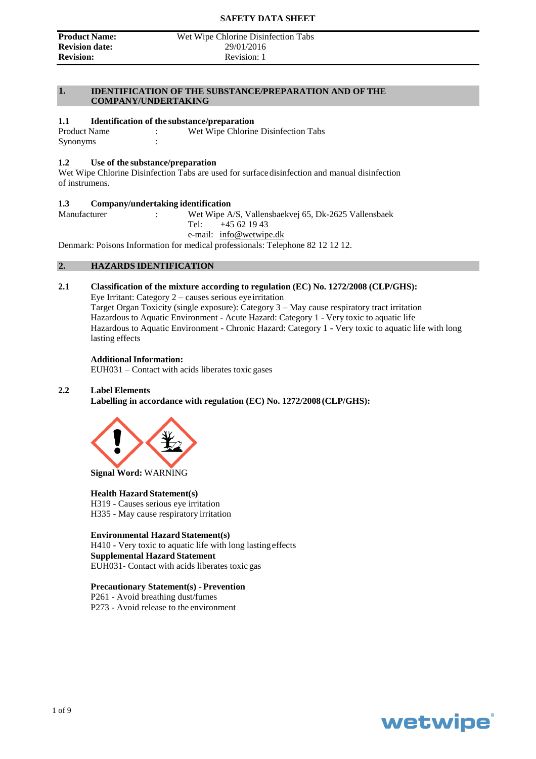#### **Product Name:** Wet Wipe Chlorine Disinfection Tabs<br> **Revision date:** 29/01/2016 **Revision:** Revision: 1

#### **1. IDENTIFICATION OF THE SUBSTANCE/PREPARATION AND OF THE COMPANY/UNDERTAKING**

#### **1.1 Identification of the substance/preparation**

Product Name : Wet Wipe Chlorine Disinfection Tabs Synonyms :

#### **1.2 Use of the substance/preparation**

Wet Wipe Chlorine Disinfection Tabs are used for surface disinfection and manual disinfection of instrumens.

### **1.3 Company/undertaking identification**<br>Manufacturer : Wet Wipe A

: Wet Wipe A/S, Vallensbaekvej 65, Dk-2625 Vallensbaek Tel:  $+45621943$ e-mail: [info@wetwipe.dk](mailto:info@wetwipe.dk)

Denmark: Poisons Information for medical professionals: Telephone 82 12 12 12.

#### **2. HAZARDS IDENTIFICATION**

#### **2.1 Classification of the mixture according to regulation (EC) No. 1272/2008 (CLP/GHS):**

Eye Irritant: Category 2 – causes serious eye irritation Target Organ Toxicity (single exposure): Category 3 – May cause respiratory tract irritation Hazardous to Aquatic Environment - Acute Hazard: Category 1 - Very toxic to aquatic life Hazardous to Aquatic Environment - Chronic Hazard: Category 1 - Very toxic to aquatic life with long lasting effects

#### **Additional Information:**

EUH031 – Contact with acids liberates toxic gases

#### **2.2 Label Elements**

**Labelling in accordance with regulation (EC) No. 1272/2008 (CLP/GHS):**



**Signal Word:** WARNING

#### **Health Hazard Statement(s)**

H319 - Causes serious eye irritation H335 - May cause respiratory irritation

**Environmental Hazard Statement(s)** H410 - Very toxic to aquatic life with long lastingeffects **Supplemental Hazard Statement**

EUH031- Contact with acids liberates toxic gas

#### **Precautionary Statement(s) - Prevention**

P261 - Avoid breathing dust/fumes P273 - Avoid release to the environment

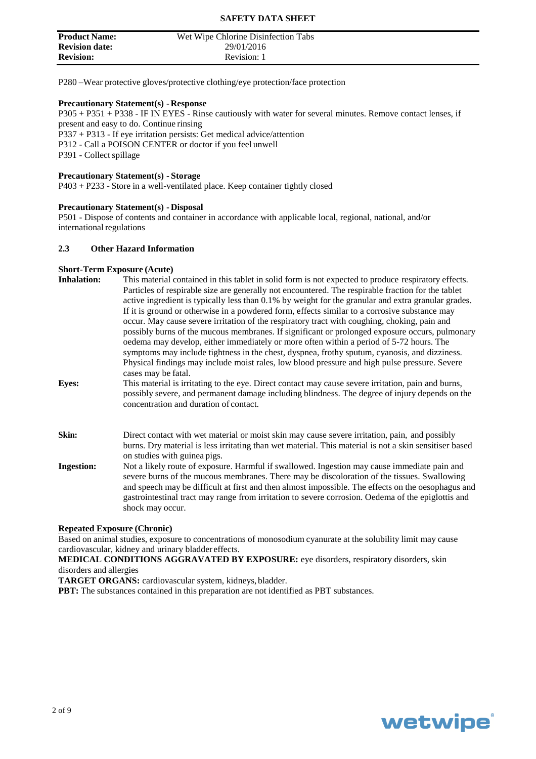| <b>Product Name:</b>  | Wet Wipe Chlorine Disinfection Tabs |
|-----------------------|-------------------------------------|
| <b>Revision date:</b> | 29/01/2016                          |
| <b>Revision:</b>      | Revision: 1                         |

P280 –Wear protective gloves/protective clothing/eye protection/face protection

#### **Precautionary Statement(s) - Response**

P305 + P351 + P338 - IF IN EYES - Rinse cautiously with water for several minutes. Remove contact lenses, if present and easy to do. Continue rinsing P337 + P313 - If eye irritation persists: Get medical advice/attention P312 - Call a POISON CENTER or doctor if you feel unwell P391 - Collect spillage

#### **Precautionary Statement(s) - Storage**

P403 + P233 - Store in a well-ventilated place. Keep container tightly closed

#### **Precautionary Statement(s) - Disposal**

P501 - Dispose of contents and container in accordance with applicable local, regional, national, and/or international regulations

#### **2.3 Other Hazard Information**

#### **Short-Term Exposure (Acute)**

| <b>Inhalation:</b> | This material contained in this tablet in solid form is not expected to produce respiratory effects.<br>Particles of respirable size are generally not encountered. The respirable fraction for the tablet<br>active ingredient is typically less than 0.1% by weight for the granular and extra granular grades.<br>If it is ground or otherwise in a powdered form, effects similar to a corrosive substance may<br>occur. May cause severe irritation of the respiratory tract with coughing, choking, pain and<br>possibly burns of the mucous membranes. If significant or prolonged exposure occurs, pulmonary<br>oedema may develop, either immediately or more often within a period of 5-72 hours. The |
|--------------------|-----------------------------------------------------------------------------------------------------------------------------------------------------------------------------------------------------------------------------------------------------------------------------------------------------------------------------------------------------------------------------------------------------------------------------------------------------------------------------------------------------------------------------------------------------------------------------------------------------------------------------------------------------------------------------------------------------------------|
| <b>Eyes:</b>       | symptoms may include tightness in the chest, dyspnea, frothy sputum, cyanosis, and dizziness.<br>Physical findings may include moist rales, low blood pressure and high pulse pressure. Severe<br>cases may be fatal.<br>This material is irritating to the eye. Direct contact may cause severe irritation, pain and burns,<br>possibly severe, and permanent damage including blindness. The degree of injury depends on the<br>concentration and duration of contact.                                                                                                                                                                                                                                        |
| Skin:              | Direct contact with wet material or moist skin may cause severe irritation, pain, and possibly<br>burns. Dry material is less irritating than wet material. This material is not a skin sensitiser based<br>on studies with guinea pigs.                                                                                                                                                                                                                                                                                                                                                                                                                                                                        |
| <b>Ingestion:</b>  | Not a likely route of exposure. Harmful if swallowed. Ingestion may cause immediate pain and<br>severe burns of the mucous membranes. There may be discoloration of the tissues. Swallowing                                                                                                                                                                                                                                                                                                                                                                                                                                                                                                                     |

severe burns of the mucous membranes. There may be discoloration of the tissues. Swallowing and speech may be difficult at first and then almost impossible. The effects on the oesophagus and gastrointestinal tract may range from irritation to severe corrosion. Oedema of the epiglottis and shock may occur.

#### **Repeated Exposure (Chronic)**

Based on animal studies, exposure to concentrations of monosodium cyanurate at the solubility limit may cause cardiovascular, kidney and urinary bladder effects.

#### **MEDICAL CONDITIONS AGGRAVATED BY EXPOSURE:** eye disorders, respiratory disorders, skin disorders and allergies

**TARGET ORGANS:** cardiovascular system, kidneys, bladder.

**PBT:** The substances contained in this preparation are not identified as PBT substances.

## **wetwipe**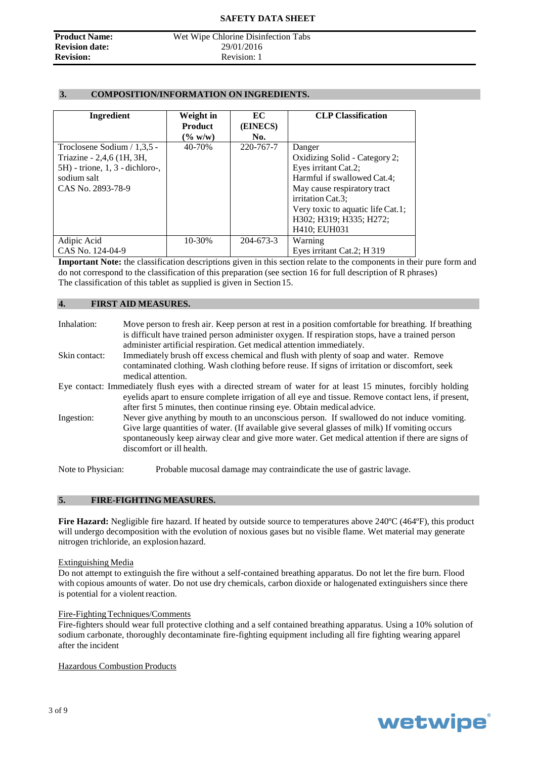**Revision date:**<br>Revision:

### **Product Name:** Wet Wipe Chlorine Disinfection Tabs<br> **Revision date:** 29/01/2016 **Revision:** Revision: 1

#### **3. COMPOSITION/INFORMATION ON INGREDIENTS.**

| Ingredient                         | Weight in<br><b>Product</b> | EC<br>(EINECS) | <b>CLP Classification</b>         |
|------------------------------------|-----------------------------|----------------|-----------------------------------|
|                                    | $(\% w/w)$                  | No.            |                                   |
| Troclosene Sodium $/ 1.3.5 -$      | 40-70%                      | 220-767-7      | Danger                            |
| Triazine - 2,4,6 (1H, 3H,          |                             |                | Oxidizing Solid - Category 2;     |
| $5H$ ) - trione, 1, 3 - dichloro-, |                             |                | Eyes irritant Cat.2;              |
| sodium salt                        |                             |                | Harmful if swallowed Cat.4;       |
| CAS No. 2893-78-9                  |                             |                | May cause respiratory tract       |
|                                    |                             |                | irritation Cat.3;                 |
|                                    |                             |                | Very toxic to aquatic life Cat.1; |
|                                    |                             |                | H302; H319; H335; H272;           |
|                                    |                             |                | H410; EUH031                      |
| Adipic Acid                        | 10-30%                      | 204-673-3      | Warning                           |
| CAS No. 124-04-9                   |                             |                | Eyes irritant Cat.2; H 319        |

**Important Note:** the classification descriptions given in this section relate to the components in their pure form and do not correspond to the classification of this preparation (see section 16 for full description of R phrases) The classification of this tablet as supplied is given in Section 15.

#### **4. FIRST AID MEASURES.**

| Inhalation:        | Move person to fresh air. Keep person at rest in a position comfortable for breathing. If breathing<br>is difficult have trained person administer oxygen. If respiration stops, have a trained person<br>administer artificial respiration. Get medical attention immediately.                                                |
|--------------------|--------------------------------------------------------------------------------------------------------------------------------------------------------------------------------------------------------------------------------------------------------------------------------------------------------------------------------|
| Skin contact:      | Immediately brush off excess chemical and flush with plenty of soap and water. Remove<br>contaminated clothing. Wash clothing before reuse. If signs of irritation or discomfort, seek<br>medical attention.                                                                                                                   |
|                    | Eye contact: Immediately flush eyes with a directed stream of water for at least 15 minutes, forcibly holding<br>eyelids apart to ensure complete irrigation of all eye and tissue. Remove contact lens, if present,<br>after first 5 minutes, then continue rinsing eye. Obtain medical advice.                               |
| Ingestion:         | Never give anything by mouth to an unconscious person. If swallowed do not induce vomiting.<br>Give large quantities of water. (If available give several glasses of milk) If vomiting occurs<br>spontaneously keep airway clear and give more water. Get medical attention if there are signs of<br>discomfort or ill health. |
| Note to Physician: | Probable mucosal damage may contraindicate the use of gastric lavage.                                                                                                                                                                                                                                                          |

#### **5. FIRE-FIGHTING MEASURES.**

**Fire Hazard:** Negligible fire hazard. If heated by outside source to temperatures above 240ºC (464ºF), this product will undergo decomposition with the evolution of noxious gases but no visible flame. Wet material may generate nitrogen trichloride, an explosion hazard.

#### Extinguishing Media

Do not attempt to extinguish the fire without a self-contained breathing apparatus. Do not let the fire burn. Flood with copious amounts of water. Do not use dry chemicals, carbon dioxide or halogenated extinguishers since there is potential for a violent reaction.

#### Fire-Fighting Techniques/Comments

Fire-fighters should wear full protective clothing and a self contained breathing apparatus. Using a 10% solution of sodium carbonate, thoroughly decontaminate fire-fighting equipment including all fire fighting wearing apparel after the incident

#### Hazardous Combustion Products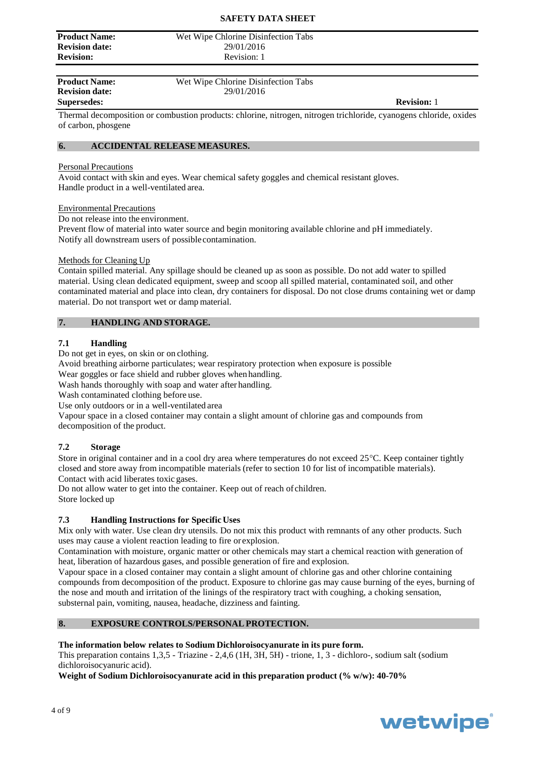#### **SAFETY DATA SHEET**

**Product Name:** Wet Wipe Chlorine Disinfection Tabs<br> **Revision date:** 29/01/2016 **Revision date:**<br>Revision:

**Product Name:** Wet Wipe Chlorine Disinfection Tabs **Revision date:** 29/01/2016

**Revision:** Revision: 1

**Supersedes: Revision:** 1

Thermal decomposition or combustion products: chlorine, nitrogen, nitrogen trichloride, cyanogens chloride, oxides of carbon, phosgene

#### **6. ACCIDENTAL RELEASE MEASURES.**

#### Personal Precautions

Avoid contact with skin and eyes. Wear chemical safety goggles and chemical resistant gloves. Handle product in a well-ventilated area.

#### Environmental Precautions

Do not release into the environment.

Prevent flow of material into water source and begin monitoring available chlorine and pH immediately. Notify all downstream users of possible contamination.

#### Methods for Cleaning Up

Contain spilled material. Any spillage should be cleaned up as soon as possible. Do not add water to spilled material. Using clean dedicated equipment, sweep and scoop all spilled material, contaminated soil, and other contaminated material and place into clean, dry containers for disposal. Do not close drums containing wet or damp material. Do not transport wet or damp material.

#### **7. HANDLING AND STORAGE.**

#### **7.1 Handling**

Do not get in eyes, on skin or on clothing.

Avoid breathing airborne particulates; wear respiratory protection when exposure is possible

Wear goggles or face shield and rubber gloves when handling.

Wash hands thoroughly with soap and water after handling.

Wash contaminated clothing before use.

Use only outdoors or in a well-ventilated area

Vapour space in a closed container may contain a slight amount of chlorine gas and compounds from decomposition of the product.

#### **7.2 Storage**

Store in original container and in a cool dry area where temperatures do not exceed  $25^{\circ}$ C. Keep container tightly closed and store away from incompatible materials (refer to section 10 for list of incompatible materials). Contact with acid liberates toxic gases.

Do not allow water to get into the container. Keep out of reach of children.

Store locked up

#### **7.3 Handling Instructions for Specific Uses**

Mix only with water. Use clean dry utensils. Do not mix this product with remnants of any other products. Such uses may cause a violent reaction leading to fire or explosion.

Contamination with moisture, organic matter or other chemicals may start a chemical reaction with generation of heat, liberation of hazardous gases, and possible generation of fire and explosion.

Vapour space in a closed container may contain a slight amount of chlorine gas and other chlorine containing compounds from decomposition of the product. Exposure to chlorine gas may cause burning of the eyes, burning of the nose and mouth and irritation of the linings of the respiratory tract with coughing, a choking sensation, substernal pain, vomiting, nausea, headache, dizziness and fainting.

#### **8. EXPOSURE CONTROLS/PERSONALPROTECTION.**

#### **The information below relates to Sodium Dichloroisocyanurate in its pure form.**

This preparation contains 1,3,5 - Triazine - 2,4,6 (1H, 3H, 5H) - trione, 1, 3 - dichloro-, sodium salt (sodium dichloroisocyanuric acid).

**Weight of Sodium Dichloroisocyanurate acid in this preparation product (% w/w): 40-70%**

# wetwipe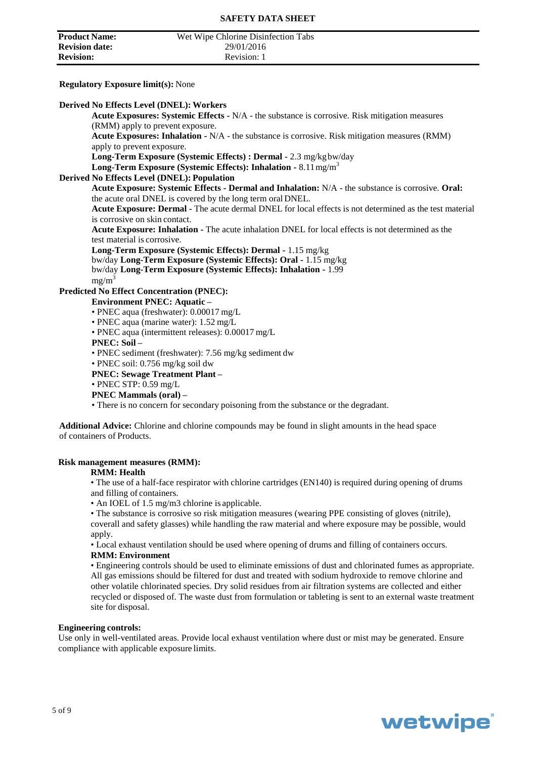| <b>Product Name:</b>  | Wet Wipe Chlorine Disinfection Tabs |  |
|-----------------------|-------------------------------------|--|
| <b>Revision date:</b> | 29/01/2016                          |  |
| <b>Revision:</b>      | Revision: 1                         |  |

#### **Regulatory Exposure limit(s):** None

#### **Derived No Effects Level (DNEL): Workers**

**Acute Exposures: Systemic Effects -** N/A - the substance is corrosive. Risk mitigation measures (RMM) apply to prevent exposure.

**Acute Exposures: Inhalation -** N/A - the substance is corrosive. Risk mitigation measures (RMM) apply to prevent exposure.

**Long-Term Exposure (Systemic Effects) : Dermal -** 2.3 mg/kgbw/day

**Long-Term Exposure (Systemic Effects): Inhalation -** 8.11mg/m<sup>3</sup>

#### **Derived No Effects Level (DNEL): Population**

**Acute Exposure: Systemic Effects - Dermal and Inhalation:** N/A - the substance is corrosive. **Oral:**  the acute oral DNEL is covered by the long term oral DNEL.

**Acute Exposure: Dermal -** The acute dermal DNEL for local effects is not determined as the test material is corrosive on skin contact.

**Acute Exposure: Inhalation -** The acute inhalation DNEL for local effects is not determined as the test material is corrosive.

**Long-Term Exposure (Systemic Effects): Dermal -** 1.15 mg/kg bw/day **Long-Term Exposure (Systemic Effects): Oral -** 1.15 mg/kg

bw/day **Long-Term Exposure (Systemic Effects): Inhalation -** 1.99  $mg/m<sup>3</sup>$ 

#### **Predicted No Effect Concentration (PNEC):**

#### **Environment PNEC: Aquatic –**

- PNEC aqua (freshwater): 0.00017 mg/L
- PNEC aqua (marine water): 1.52 mg/L
- PNEC aqua (intermittent releases): 0.00017 mg/L
- **PNEC: Soil –**
- PNEC sediment (freshwater): 7.56 mg/kg sediment dw
- PNEC soil: 0.756 mg/kg soil dw
- **PNEC: Sewage Treatment Plant –**
- PNEC STP: 0.59 mg/L
- **PNEC Mammals (oral) –**

• There is no concern for secondary poisoning from the substance or the degradant.

**Additional Advice:** Chlorine and chlorine compounds may be found in slight amounts in the head space of containers of Products.

#### **Risk management measures (RMM):**

#### **RMM: Health**

• The use of a half-face respirator with chlorine cartridges (EN140) is required during opening of drums and filling of containers.

• An IOEL of 1.5 mg/m3 chlorine is applicable.

• The substance is corrosive so risk mitigation measures (wearing PPE consisting of gloves (nitrile), coverall and safety glasses) while handling the raw material and where exposure may be possible, would apply.

• Local exhaust ventilation should be used where opening of drums and filling of containers occurs. **RMM: Environment**

• Engineering controls should be used to eliminate emissions of dust and chlorinated fumes as appropriate. All gas emissions should be filtered for dust and treated with sodium hydroxide to remove chlorine and other volatile chlorinated species. Dry solid residues from air filtration systems are collected and either recycled or disposed of. The waste dust from formulation or tableting is sent to an external waste treatment site for disposal.

#### **Engineering controls:**

Use only in well-ventilated areas. Provide local exhaust ventilation where dust or mist may be generated. Ensure compliance with applicable exposure limits.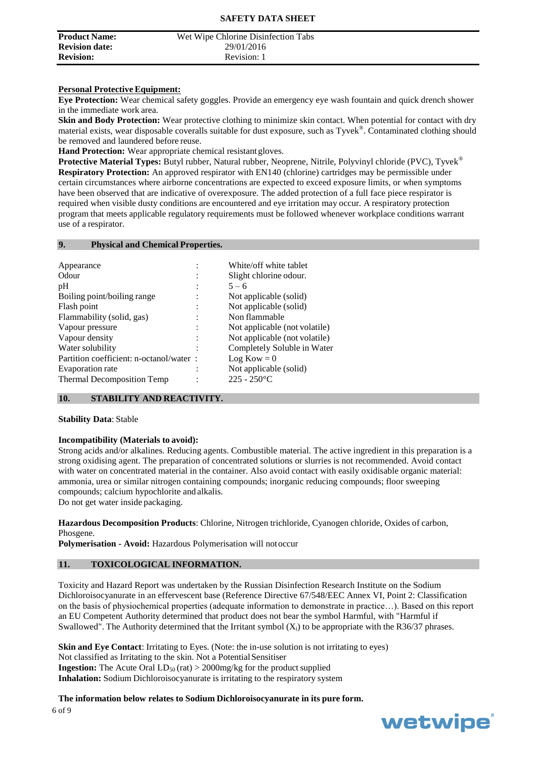| <b>Product Name:</b>  | Wet Wipe Chlorine Disinfection Tabs |  |
|-----------------------|-------------------------------------|--|
| <b>Revision date:</b> | 29/01/2016                          |  |
| <b>Revision:</b>      | Revision: 1                         |  |

#### **Personal Protective Equipment:**

**Eye Protection:** Wear chemical safety goggles. Provide an emergency eye wash fountain and quick drench shower in the immediate work area.

**Skin and Body Protection:** Wear protective clothing to minimize skin contact. When potential for contact with dry material exists, wear disposable coveralls suitable for dust exposure, such as Tyvek®. Contaminated clothing should be removed and laundered before reuse.

Hand Protection: Wear appropriate chemical resistant gloves.

**Protective Material Types:** Butyl rubber, Natural rubber, Neoprene, Nitrile, Polyvinyl chloride (PVC), Tyvek® **Respiratory Protection:** An approved respirator with EN140 (chlorine) cartridges may be permissible under certain circumstances where airborne concentrations are expected to exceed exposure limits, or when symptoms have been observed that are indicative of overexposure. The added protection of a full face piece respirator is required when visible dusty conditions are encountered and eye irritation may occur. A respiratory protection program that meets applicable regulatory requirements must be followed whenever workplace conditions warrant use of a respirator.

#### **9. Physical and Chemical Properties.**

| Appearance                              | White/off white tablet        |
|-----------------------------------------|-------------------------------|
| Odour                                   | Slight chlorine odour.        |
| pH                                      | $5 - 6$                       |
| Boiling point/boiling range             | Not applicable (solid)        |
| Flash point                             | Not applicable (solid)        |
| Flammability (solid, gas)               | Non flammable                 |
| Vapour pressure                         | Not applicable (not volatile) |
| Vapour density                          | Not applicable (not volatile) |
| Water solubility                        | Completely Soluble in Water   |
| Partition coefficient: n-octanol/water: | $Log Kow = 0$                 |
| Evaporation rate                        | Not applicable (solid)        |
| <b>Thermal Decomposition Temp</b>       | $225 - 250$ °C                |

#### **10. STABILITY AND REACTIVITY.**

#### **Stability Data**: Stable

#### **Incompatibility (Materials to avoid):**

Strong acids and/or alkalines. Reducing agents. Combustible material. The active ingredient in this preparation is a strong oxidising agent. The preparation of concentrated solutions or slurries is not recommended. Avoid contact with water on concentrated material in the container. Also avoid contact with easily oxidisable organic material: ammonia, urea or similar nitrogen containing compounds; inorganic reducing compounds; floor sweeping compounds; calcium hypochlorite and alkalis.

Do not get water inside packaging.

**Hazardous Decomposition Products**: Chlorine, Nitrogen trichloride, Cyanogen chloride, Oxides of carbon, Phosgene.

**Polymerisation - Avoid:** Hazardous Polymerisation will notoccur

#### **11. TOXICOLOGICAL INFORMATION.**

Toxicity and Hazard Report was undertaken by the Russian Disinfection Research Institute on the Sodium Dichloroisocyanurate in an effervescent base (Reference Directive 67/548/EEC Annex VI, Point 2: Classification on the basis of physiochemical properties (adequate information to demonstrate in practice…). Based on this report an EU Competent Authority determined that product does not bear the symbol Harmful, with "Harmful if Swallowed". The Authority determined that the Irritant symbol  $(X_i)$  to be appropriate with the R36/37 phrases.

**Skin and Eye Contact**: Irritating to Eyes. (Note: the in-use solution is not irritating to eyes) Not classified as Irritating to the skin. Not a Potential Sensitiser **Ingestion:** The Acute Oral  $LD_{50}$  (rat) > 2000mg/kg for the product supplied **Inhalation:** Sodium Dichloroisocyanurate is irritating to the respiratory system

6 of 9 **The information below relates to Sodium Dichloroisocyanurate in its pure form.**

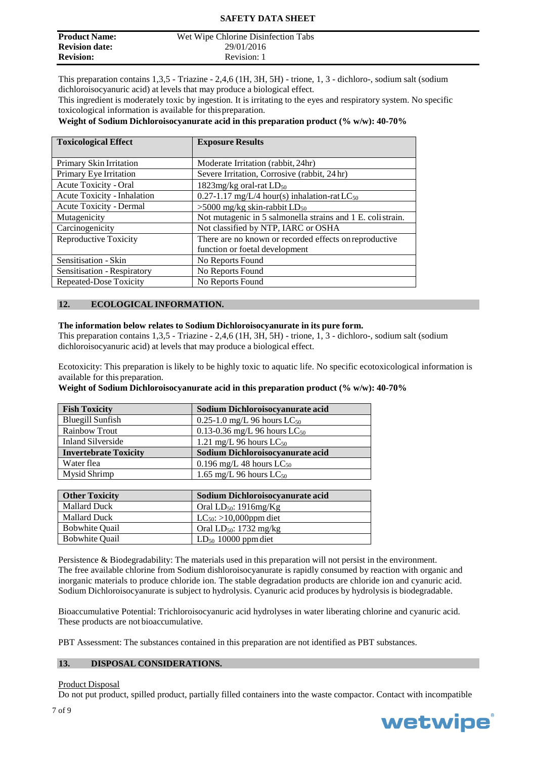| <b>Product Name:</b>  | Wet Wipe Chlorine Disinfection Tabs |  |
|-----------------------|-------------------------------------|--|
| <b>Revision date:</b> | 29/01/2016                          |  |
| <b>Revision:</b>      | Revision: 1                         |  |

This preparation contains 1,3,5 - Triazine - 2,4,6 (1H, 3H, 5H) - trione, 1, 3 - dichloro-, sodium salt (sodium dichloroisocyanuric acid) at levels that may produce a biological effect.

This ingredient is moderately toxic by ingestion. It is irritating to the eyes and respiratory system. No specific toxicological information is available for thispreparation.

#### **Weight of Sodium Dichloroisocyanurate acid in this preparation product (% w/w): 40-70%**

| <b>Toxicological Effect</b>    | <b>Exposure Results</b>                                     |  |
|--------------------------------|-------------------------------------------------------------|--|
|                                |                                                             |  |
| Primary Skin Irritation        | Moderate Irritation (rabbit, 24hr)                          |  |
| Primary Eye Irritation         | Severe Irritation, Corrosive (rabbit, 24 hr)                |  |
| Acute Toxicity - Oral          | 1823 $mg/kg$ oral-rat $LD_{50}$                             |  |
| Acute Toxicity - Inhalation    | $0.27$ -1.17 mg/L/4 hour(s) inhalation-rat LC <sub>50</sub> |  |
| <b>Acute Toxicity - Dermal</b> | $>5000$ mg/kg skin-rabbit LD <sub>50</sub>                  |  |
| Mutagenicity                   | Not mutagenic in 5 salmonella strains and 1 E. colistrain.  |  |
| Carcinogenicity                | Not classified by NTP, IARC or OSHA                         |  |
| <b>Reproductive Toxicity</b>   | There are no known or recorded effects on reproductive      |  |
|                                | function or foetal development                              |  |
| Sensitisation - Skin           | No Reports Found                                            |  |
| Sensitisation - Respiratory    | No Reports Found                                            |  |
| <b>Repeated-Dose Toxicity</b>  | No Reports Found                                            |  |

#### **12. ECOLOGICAL INFORMATION.**

#### **The information below relates to Sodium Dichloroisocyanurate in its pure form.**

This preparation contains 1,3,5 - Triazine - 2,4,6 (1H, 3H, 5H) - trione, 1, 3 - dichloro-, sodium salt (sodium dichloroisocyanuric acid) at levels that may produce a biological effect.

Ecotoxicity: This preparation is likely to be highly toxic to aquatic life. No specific ecotoxicological information is available for this preparation.

**Weight of Sodium Dichloroisocyanurate acid in this preparation product (% w/w): 40-70%**

| <b>Fish Toxicity</b>         | Sodium Dichloroisocyanurate acid  |
|------------------------------|-----------------------------------|
| <b>Bluegill Sunfish</b>      | 0.25-1.0 mg/L 96 hours $LC_{50}$  |
| <b>Rainbow Trout</b>         | 0.13-0.36 mg/L 96 hours $LC_{50}$ |
| <b>Inland Silverside</b>     | 1.21 mg/L 96 hours $LC_{50}$      |
| <b>Invertebrate Toxicity</b> | Sodium Dichloroisocyanurate acid  |
| Water flea                   | 0.196 mg/L 48 hours $LC_{50}$     |
| Mysid Shrimp                 | 1.65 mg/L 96 hours $LC_{50}$      |

| <b>Other Toxicity</b> | Sodium Dichloroisocyanurate acid |
|-----------------------|----------------------------------|
| <b>Mallard Duck</b>   | Oral $LD_{50}$ : 1916mg/Kg       |
| <b>Mallard Duck</b>   | $LC_{50}$ : >10,000ppm diet      |
| <b>Bobwhite Quail</b> | Oral $LD_{50}$ : 1732 mg/kg      |
| <b>Bobwhite Quail</b> | $LD_{50}$ 10000 ppm diet         |

Persistence & Biodegradability: The materials used in this preparation will not persist in the environment. The free available chlorine from Sodium dishloroisocyanurate is rapidly consumed by reaction with organic and inorganic materials to produce chloride ion. The stable degradation products are chloride ion and cyanuric acid. Sodium Dichloroisocyanurate is subject to hydrolysis. Cyanuric acid produces by hydrolysis is biodegradable.

Bioaccumulative Potential: Trichloroisocyanuric acid hydrolyses in water liberating chlorine and cyanuric acid. These products are not bioaccumulative.

PBT Assessment: The substances contained in this preparation are not identified as PBT substances.

#### **13. DISPOSAL CONSIDERATIONS.**

#### Product Disposal

Do not put product, spilled product, partially filled containers into the waste compactor. Contact with incompatible

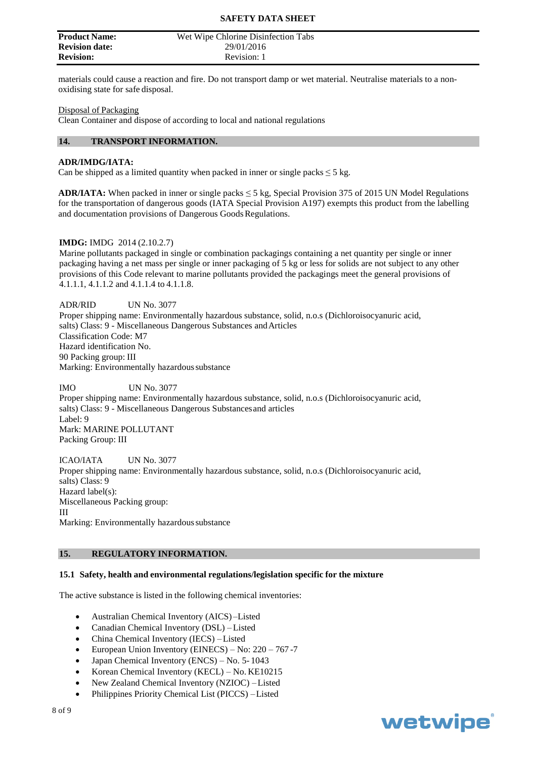| <b>Product Name:</b>  | Wet Wipe Chlorine Disinfection Tabs |
|-----------------------|-------------------------------------|
| <b>Revision date:</b> | 29/01/2016                          |
| <b>Revision:</b>      | Revision: 1                         |

materials could cause a reaction and fire. Do not transport damp or wet material. Neutralise materials to a nonoxidising state for safe disposal.

#### Disposal of Packaging

Clean Container and dispose of according to local and national regulations

#### **14. TRANSPORT INFORMATION.**

#### **ADR/IMDG/IATA:**

Can be shipped as a limited quantity when packed in inner or single packs  $\leq$  5 kg.

**ADR/IATA:** When packed in inner or single packs ≤ 5 kg, Special Provision 375 of 2015 UN Model Regulations for the transportation of dangerous goods (IATA Special Provision A197) exempts this product from the labelling and documentation provisions of Dangerous Goods Regulations.

#### **IMDG:** IMDG 2014 (2.10.2.7)

Marine pollutants packaged in single or combination packagings containing a net quantity per single or inner packaging having a net mass per single or inner packaging of 5 kg or less for solids are not subject to any other provisions of this Code relevant to marine pollutants provided the packagings meet the general provisions of 4.1.1.1, 4.1.1.2 and 4.1.1.4 to 4.1.1.8.

ADR/RID UN No. 3077 Proper shipping name: Environmentally hazardous substance, solid, n.o.s (Dichloroisocyanuric acid, salts) Class: 9 - Miscellaneous Dangerous Substances andArticles Classification Code: M7 Hazard identification No. 90 Packing group: III Marking: Environmentally hazardous substance

IMO UN No. 3077 Proper shipping name: Environmentally hazardous substance, solid, n.o.s (Dichloroisocyanuric acid, salts) Class: 9 - Miscellaneous Dangerous Substancesand articles Label: 9 Mark: MARINE POLLUTANT Packing Group: III

ICAO/IATA UN No. 3077 Proper shipping name: Environmentally hazardous substance, solid, n.o.s (Dichloroisocyanuric acid, salts) Class: 9 Hazard label(s): Miscellaneous Packing group: III Marking: Environmentally hazardous substance

#### **15. REGULATORY INFORMATION.**

#### **15.1 Safety, health and environmental regulations/legislation specific for the mixture**

The active substance is listed in the following chemical inventories:

- Australian Chemical Inventory (AICS) –Listed
- Canadian Chemical Inventory (DSL) –Listed
- China Chemical Inventory (IECS) –Listed
- European Union Inventory (EINECS) No: 220 767 -7
- Japan Chemical Inventory (ENCS) No. 5- 1043
- Korean Chemical Inventory (KECL) No. KE10215
- New Zealand Chemical Inventory (NZIOC) –Listed
- Philippines Priority Chemical List (PICCS) –Listed

## wetwipe